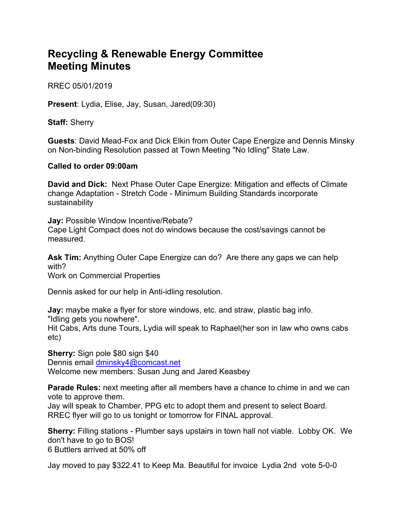## **Recycling & Renewable Energy Committee Meeting Minutes**

RREC 05/01/2019

**Present**: Lydia, Elise, Jay, Susan, Jared(09:30)

**Staff:** Sherry

**Guests**: David Mead-Fox and Dick Elkin from Outer Cape Energize and Dennis Minsky on Non-binding Resolution passed at Town Meeting "No Idling" State Law.

## **Called to order 09:00am**

**David and Dick:** Next Phase Outer Cape Energize: Mitigation and effects of Climate change Adaptation - Stretch Code - Minimum Building Standards incorporate sustainability

**Jay:** Possible Window Incentive/Rebate? Cape Light Compact does not do windows because the cost/savings cannot be measured.

**Ask Tim:** Anything Outer Cape Energize can do? Are there any gaps we can help with?

Work on Commercial Properties

Dennis asked for our help in Anti-idling resolution.

**Jay:** maybe make a flyer for store windows, etc. and straw, plastic bag info. "Idling gets you nowhere".

Hit Cabs, Arts dune Tours, Lydia will speak to Raphael(her son in law who owns cabs etc)

**Sherry:** Sign pole \$80 sign \$40

Dennis email dminsky4@comcast.net

Welcome new members: Susan Jung and Jared Keasbey

**Parade Rules:** next meeting after all members have a chance to chime in and we can vote to approve them.

Jay will speak to Chamber, PPG etc to adopt them and present to select Board. RREC flyer will go to us tonight or tomorrow for FINAL approval.

**Sherry:** Filling stations - Plumber says upstairs in town hall not viable. Lobby OK. We don't have to go to BOS! 6 Buttlers arrived at 50% off

Jay moved to pay \$322.41 to Keep Ma. Beautiful for invoice Lydia 2nd vote 5-0-0